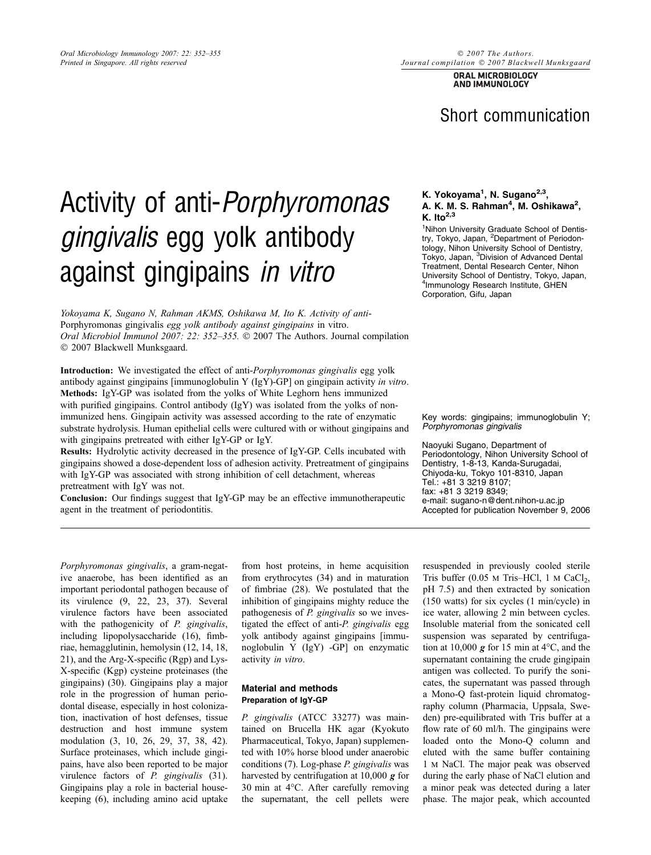ORAL MICROBIOLOGY AND IMMUNOLOGY

# Short communication

# Activity of anti-Porphyromonas gingivalis egg yolk antibody against gingipains in vitro

Yokoyama K, Sugano N, Rahman AKMS, Oshikawa M, Ito K. Activity of anti-Porphyromonas gingivalis egg yolk antibody against gingipains in vitro. Oral Microbiol Immunol 2007: 22: 352-355.  $\odot$  2007 The Authors. Journal compilation 2007 Blackwell Munksgaard.

Introduction: We investigated the effect of anti-Porphyromonas gingivalis egg yolk antibody against gingipains [immunoglobulin Y (IgY)-GP] on gingipain activity in vitro. Methods: IgY-GP was isolated from the yolks of White Leghorn hens immunized with purified gingipains. Control antibody (IgY) was isolated from the yolks of nonimmunized hens. Gingipain activity was assessed according to the rate of enzymatic substrate hydrolysis. Human epithelial cells were cultured with or without gingipains and with gingipains pretreated with either IgY-GP or IgY.

Results: Hydrolytic activity decreased in the presence of IgY-GP. Cells incubated with gingipains showed a dose-dependent loss of adhesion activity. Pretreatment of gingipains with IgY-GP was associated with strong inhibition of cell detachment, whereas pretreatment with IgY was not.

Conclusion: Our findings suggest that IgY-GP may be an effective immunotherapeutic agent in the treatment of periodontitis.

## K. Yokoyama<sup>1</sup>, N. Sugano<sup>2,3</sup>, A. K. M. S. Rahman<sup>4</sup>, M. Oshikawa<sup>2</sup>, K. Ito $^{2,3}$

<sup>1</sup> Nihon University Graduate School of Dentistry, Tokyo, Japan, <sup>2</sup>Department of Periodontology, Nihon University School of Dentistry, Tokyo, Japan, <sup>3</sup>Division of Advanced Dental Treatment, Dental Research Center, Nihon University School of Dentistry, Tokyo, Japan, 4 Immunology Research Institute, GHEN Corporation, Gifu, Japan

Key words: gingipains; immunoglobulin Y; Porphyromonas gingivalis

Naoyuki Sugano, Department of Periodontology, Nihon University School of Dentistry, 1-8-13, Kanda-Surugadai, Chiyoda-ku, Tokyo 101-8310, Japan Tel.: +81 3 3219 8107; fax: +81 3 3219 8349; e-mail: sugano-n@dent.nihon-u.ac.jp Accepted for publication November<sup>"9</sup>, 2006

Porphyromonas gingivalis, a gram-negative anaerobe, has been identified as an important periodontal pathogen because of its virulence (9, 22, 23, 37). Several virulence factors have been associated with the pathogenicity of P. gingivalis, including lipopolysaccharide (16), fimbriae, hemagglutinin, hemolysin (12, 14, 18, 21), and the Arg-X-specific (Rgp) and Lys-X-specific (Kgp) cysteine proteinases (the gingipains) (30). Gingipains play a major role in the progression of human periodontal disease, especially in host colonization, inactivation of host defenses, tissue destruction and host immune system modulation (3, 10, 26, 29, 37, 38, 42). Surface proteinases, which include gingipains, have also been reported to be major virulence factors of P. gingivalis (31). Gingipains play a role in bacterial housekeeping (6), including amino acid uptake

from host proteins, in heme acquisition from erythrocytes (34) and in maturation of fimbriae (28). We postulated that the inhibition of gingipains mighty reduce the pathogenesis of P. gingivalis so we investigated the effect of anti-P. gingivalis egg yolk antibody against gingipains [immunoglobulin Y (IgY) -GP] on enzymatic activity in vitro.

# Material and methods Preparation of IgY-GP

P. gingivalis (ATCC 33277) was maintained on Brucella HK agar (Kyokuto Pharmaceutical, Tokyo, Japan) supplemented with 10% horse blood under anaerobic conditions (7). Log-phase P. gingivalis was harvested by centrifugation at  $10,000 \, \text{g}$  for 30 min at 4°C. After carefully removing the supernatant, the cell pellets were

resuspended in previously cooled sterile Tris buffer  $(0.05 \text{ M Tris-HCl}, 1 \text{ M } CaCl<sub>2</sub>$ , pH 7.5) and then extracted by sonication (150 watts) for six cycles (1 min/cycle) in ice water, allowing 2 min between cycles. Insoluble material from the sonicated cell suspension was separated by centrifugation at 10,000  $g$  for 15 min at 4°C, and the supernatant containing the crude gingipain antigen was collected. To purify the sonicates, the supernatant was passed through a Mono-Q fast-protein liquid chromatography column (Pharmacia, Uppsala, Sweden) pre-equilibrated with Tris buffer at a flow rate of 60 ml/h. The gingipains were loaded onto the Mono-Q column and eluted with the same buffer containing 1 m NaCl. The major peak was observed during the early phase of NaCl elution and a minor peak was detected during a later phase. The major peak, which accounted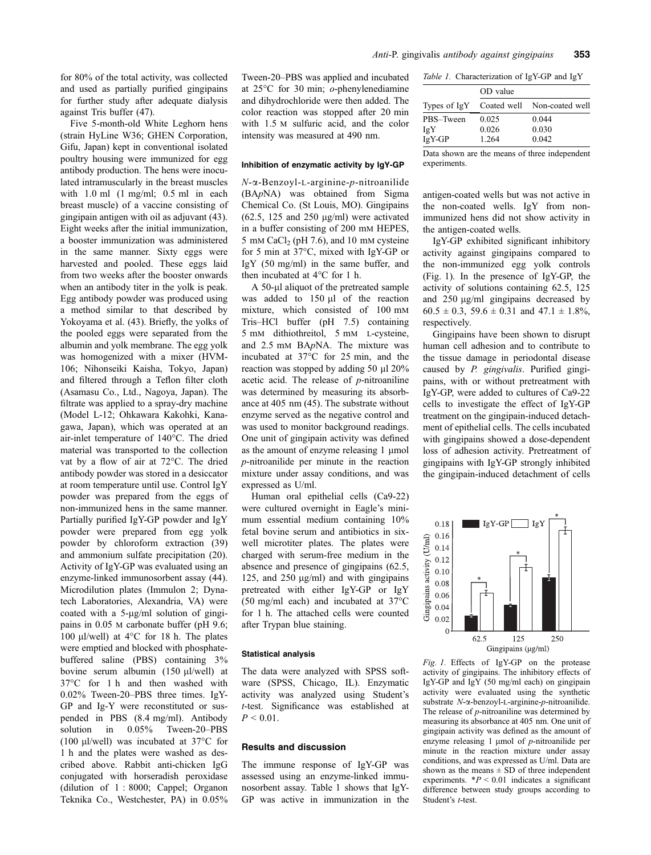for 80% of the total activity, was collected and used as partially purified gingipains for further study after adequate dialysis against Tris buffer (47).

Five 5-month-old White Leghorn hens (strain HyLine W36; GHEN Corporation, Gifu, Japan) kept in conventional isolated poultry housing were immunized for egg antibody production. The hens were inoculated intramuscularly in the breast muscles with 1.0 ml (1 mg/ml; 0.5 ml in each breast muscle) of a vaccine consisting of gingipain antigen with oil as adjuvant (43). Eight weeks after the initial immunization, a booster immunization was administered in the same manner. Sixty eggs were harvested and pooled. These eggs laid from two weeks after the booster onwards when an antibody titer in the yolk is peak. Egg antibody powder was produced using a method similar to that described by Yokoyama et al. (43). Briefly, the yolks of the pooled eggs were separated from the albumin and yolk membrane. The egg yolk was homogenized with a mixer (HVM-106; Nihonseiki Kaisha, Tokyo, Japan) and filtered through a Teflon filter cloth (Asamasu Co., Ltd., Nagoya, Japan). The filtrate was applied to a spray-dry machine (Model L-12; Ohkawara Kakohki, Kanagawa, Japan), which was operated at an air-inlet temperature of 140°C. The dried material was transported to the collection vat by a flow of air at 72°C. The dried antibody powder was stored in a desiccator at room temperature until use. Control IgY powder was prepared from the eggs of non-immunized hens in the same manner. Partially purified IgY-GP powder and IgY powder were prepared from egg yolk powder by chloroform extraction (39) and ammonium sulfate precipitation (20). Activity of IgY-GP was evaluated using an enzyme-linked immunosorbent assay (44). Microdilution plates (Immulon 2; Dynatech Laboratories, Alexandria, VA) were coated with a  $5-\mu g/ml$  solution of gingipains in 0.05 m carbonate buffer (pH 9.6; 100  $\mu$ l/well) at 4°C for 18 h. The plates were emptied and blocked with phosphatebuffered saline (PBS) containing 3% bovine serum albumin  $(150 \mu$ l/well) at 37-C for 1 h and then washed with 0.02% Tween-20–PBS three times. IgY-GP and Ig-Y were reconstituted or suspended in PBS (8.4 mg/ml). Antibody solution in 0.05% Tween-20–PBS (100  $\mu$ I/well) was incubated at 37 $\degree$ C for 1 h and the plates were washed as described above. Rabbit anti-chicken IgG conjugated with horseradish peroxidase (dilution of 1 : 8000; Cappel; Organon Teknika Co., Westchester, PA) in 0.05%

Tween-20–PBS was applied and incubated at 25°C for 30 min; *o*-phenylenediamine and dihydrochloride were then added. The color reaction was stopped after 20 min with 1.5 m sulfuric acid, and the color intensity was measured at 490 nm.

#### Inhibition of enzymatic activity by IgY-GP

 $N$ - $\alpha$ -Benzoyl-L-arginine-p-nitroanilide (BApNA) was obtained from Sigma Chemical Co. (St Louis, MO). Gingipains  $(62.5, 125, and 250 \mu g/ml)$  were activated in a buffer consisting of 200 mm HEPES, 5 mm CaCl<sub>2</sub> (pH 7.6), and 10 mm cysteine for 5 min at 37°C, mixed with IgY-GP or IgY (50 mg/ml) in the same buffer, and then incubated at  $4^{\circ}$ C for 1 h.

A 50-µ aliquot of the pretreated sample was added to  $150 \mu l$  of the reaction mixture, which consisted of 100 mm Tris–HCl buffer (pH 7.5) containing 5 mm dithiothreitol, 5 mm l-cysteine, and 2.5 mm BApNA. The mixture was incubated at  $37^{\circ}$ C for 25 min, and the reaction was stopped by adding 50 µl 20% acetic acid. The release of  $p$ -nitroaniline was determined by measuring its absorbance at 405 nm (45). The substrate without enzyme served as the negative control and was used to monitor background readings. One unit of gingipain activity was defined as the amount of enzyme releasing  $1 \mu$ mol p-nitroanilide per minute in the reaction mixture under assay conditions, and was expressed as U/ml.

Human oral epithelial cells (Ca9-22) were cultured overnight in Eagle's minimum essential medium containing 10% fetal bovine serum and antibiotics in sixwell microtiter plates. The plates were charged with serum-free medium in the absence and presence of gingipains (62.5, 125, and 250  $\mu$ g/ml) and with gingipains pretreated with either IgY-GP or IgY  $(50 \text{ mg/ml}$  each) and incubated at 37 $\degree$ C for 1 h. The attached cells were counted after Trypan blue staining.

#### Statistical analysis

The data were analyzed with SPSS software (SPSS, Chicago, IL). Enzymatic activity was analyzed using Student's t-test. Significance was established at  $P < 0.01$ .

# Results and discussion

The immune response of IgY-GP was assessed using an enzyme-linked immunosorbent assay. Table 1 shows that IgY-GP was active in immunization in the

|  | Table 1. Characterization of IgY-GP and IgY |  |  |
|--|---------------------------------------------|--|--|
|--|---------------------------------------------|--|--|

|              | OD value |                             |  |
|--------------|----------|-----------------------------|--|
| Types of IgY |          | Coated well Non-coated well |  |
| PBS-Tween    | 0.025    | 0.044                       |  |
| IgY          | 0.026    | 0.030                       |  |
| IgY-GP       | 1.264    | 0.042                       |  |
|              |          |                             |  |

Data shown are the means of three independent experiments.

antigen-coated wells but was not active in the non-coated wells. IgY from nonimmunized hens did not show activity in the antigen-coated wells.

IgY-GP exhibited significant inhibitory activity against gingipains compared to the non-immunized egg yolk controls (Fig. 1). In the presence of IgY-GP, the activity of solutions containing 62.5, 125 and  $250 \mu g/ml$  gingipains decreased by  $60.5 \pm 0.3$ ,  $59.6 \pm 0.31$  and  $47.1 \pm 1.8\%$ , respectively.

Gingipains have been shown to disrupt human cell adhesion and to contribute to the tissue damage in periodontal disease caused by P. gingivalis. Purified gingipains, with or without pretreatment with IgY-GP, were added to cultures of Ca9-22 cells to investigate the effect of IgY-GP treatment on the gingipain-induced detachment of epithelial cells. The cells incubated with gingipains showed a dose-dependent loss of adhesion activity. Pretreatment of gingipains with IgY-GP strongly inhibited the gingipain-induced detachment of cells



Fig. 1. Effects of IgY-GP on the protease activity of gingipains. The inhibitory effects of IgY-GP and IgY (50 mg/ml each) on gingipain activity were evaluated using the synthetic substrate  $N$ - $\alpha$ -benzoyl-L-arginine-p-nitroanilide. The release of p-nitroaniline was determined by measuring its absorbance at 405 nm. One unit of gingipain activity was defined as the amount of enzyme releasing 1  $\mu$ mol of *p*-nitroanilide per minute in the reaction mixture under assay conditions, and was expressed as U/ml. Data are shown as the means  $\pm$  SD of three independent experiments.  $*P < 0.01$  indicates a significant difference between study groups according to Student's t-test.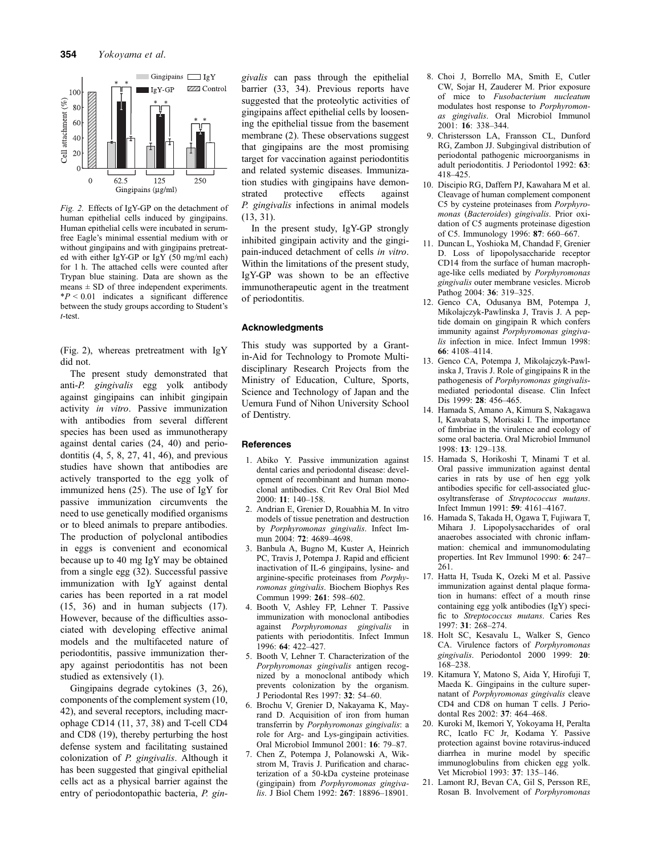

Fig. 2. Effects of IgY-GP on the detachment of human epithelial cells induced by gingipains. Human epithelial cells were incubated in serumfree Eagle's minimal essential medium with or without gingipains and with gingipains pretreated with either IgY-GP or IgY (50 mg/ml each) for 1 h. The attached cells were counted after Trypan blue staining. Data are shown as the means  $\pm$  SD of three independent experiments.  $*P < 0.01$  indicates a significant difference between the study groups according to Student's t-test.

(Fig. 2), whereas pretreatment with IgY did not.

The present study demonstrated that anti-P. gingivalis egg yolk antibody against gingipains can inhibit gingipain activity in vitro. Passive immunization with antibodies from several different species has been used as immunotherapy against dental caries (24, 40) and periodontitis (4, 5, 8, 27, 41, 46), and previous studies have shown that antibodies are actively transported to the egg yolk of immunized hens (25). The use of IgY for passive immunization circumvents the need to use genetically modified organisms or to bleed animals to prepare antibodies. The production of polyclonal antibodies in eggs is convenient and economical because up to 40 mg IgY may be obtained from a single egg (32). Successful passive immunization with IgY against dental caries has been reported in a rat model (15, 36) and in human subjects (17). However, because of the difficulties associated with developing effective animal models and the multifaceted nature of periodontitis, passive immunization therapy against periodontitis has not been studied as extensively (1).

Gingipains degrade cytokines (3, 26), components of the complement system (10, 42), and several receptors, including macrophage CD14 (11, 37, 38) and T-cell CD4 and CD8 (19), thereby perturbing the host defense system and facilitating sustained colonization of P. gingivalis. Although it has been suggested that gingival epithelial cells act as a physical barrier against the entry of periodontopathic bacteria, P. gingivalis can pass through the epithelial barrier (33, 34). Previous reports have suggested that the proteolytic activities of gingipains affect epithelial cells by loosening the epithelial tissue from the basement membrane (2). These observations suggest that gingipains are the most promising target for vaccination against periodontitis and related systemic diseases. Immunization studies with gingipains have demonstrated protective effects against P. gingivalis infections in animal models (13, 31).

In the present study, IgY-GP strongly inhibited gingipain activity and the gingipain-induced detachment of cells in vitro. Within the limitations of the present study, IgY-GP was shown to be an effective immunotherapeutic agent in the treatment of periodontitis.

## Acknowledgments

This study was supported by a Grantin-Aid for Technology to Promote Multidisciplinary Research Projects from the Ministry of Education, Culture, Sports, Science and Technology of Japan and the Uemura Fund of Nihon University School of Dentistry.

#### **References**

- 1. Abiko Y. Passive immunization against dental caries and periodontal disease: development of recombinant and human monoclonal antibodies. Crit Rev Oral Biol Med 2000: 11: 140–158.
- 2. Andrian E, Grenier D, Rouabhia M. In vitro models of tissue penetration and destruction by Porphyromonas gingivalis. Infect Immun 2004: 72: 4689-4698.
- 3. Banbula A, Bugno M, Kuster A, Heinrich PC, Travis J, Potempa J. Rapid and efficient inactivation of IL-6 gingipains, lysine- and arginine-specific proteinases from Porphyromonas gingivalis. Biochem Biophys Res Commun 1999: 261: 598–602.
- 4. Booth V, Ashley FP, Lehner T. Passive immunization with monoclonal antibodies against Porphyromonas gingivalis in patients with periodontitis. Infect Immun 1996: 64: 422–427.
- 5. Booth V, Lehner T. Characterization of the Porphyromonas gingivalis antigen recognized by a monoclonal antibody which prevents colonization by the organism. J Periodontal Res 1997: 32: 54–60.
- 6. Brochu V, Grenier D, Nakayama K, Mayrand D. Acquisition of iron from human transferrin by Porphyromonas gingivalis: a role for Arg- and Lys-gingipain activities. Oral Microbiol Immunol 2001: 16: 79–87.
- 7. Chen Z, Potempa J, Polanowski A, Wikstrom M, Travis J. Purification and characterization of a 50-kDa cysteine proteinase (gingipain) from Porphyromonas gingivalis. J Biol Chem 1992: 267: 18896-18901.
- 8. Choi J, Borrello MA, Smith E, Cutler CW, Sojar H, Zauderer M. Prior exposure of mice to Fusobacterium nucleatum modulates host response to Porphyromonas gingivalis. Oral Microbiol Immunol 2001: 16: 338–344.
- 9. Christersson LA, Fransson CL, Dunford RG, Zambon JJ. Subgingival distribution of periodontal pathogenic microorganisms in adult periodontitis. J Periodontol 1992: 63:  $418 - 425$
- 10. Discipio RG, Daffern PJ, Kawahara M et al. Cleavage of human complement component C5 by cysteine proteinases from Porphyromonas (Bacteroides) gingivalis. Prior oxidation of C5 augments proteinase digestion of C5. Immunology 1996: 87: 660–667.
- 11. Duncan L, Yoshioka M, Chandad F, Grenier D. Loss of lipopolysaccharide receptor CD14 from the surface of human macrophage-like cells mediated by Porphyromonas gingivalis outer membrane vesicles. Microb Pathog 2004: 36: 319-325.
- 12. Genco CA, Odusanya BM, Potempa J, Mikolajczyk-Pawlinska J, Travis J. A peptide domain on gingipain R which confers immunity against Porphyromonas gingivalis infection in mice. Infect Immun 1998: 66: 4108–4114.
- 13. Genco CA, Potempa J, Mikolajczyk-Pawlinska J, Travis J. Role of gingipains R in the pathogenesis of Porphyromonas gingivalismediated periodontal disease. Clin Infect Dis 1999: 28: 456–465.
- 14. Hamada S, Amano A, Kimura S, Nakagawa I, Kawabata S, Morisaki I. The importance of fimbriae in the virulence and ecology of some oral bacteria. Oral Microbiol Immunol 1998: 13: 129–138.
- 15. Hamada S, Horikoshi T, Minami T et al. Oral passive immunization against dental caries in rats by use of hen egg yolk antibodies specific for cell-associated glucosyltransferase of Streptococcus mutans. Infect Immun 1991: 59: 4161–4167.
- 16. Hamada S, Takada H, Ogawa T, Fujiwara T, Mihara J. Lipopolysaccharides of oral anaerobes associated with chronic inflammation: chemical and immunomodulating properties. Int Rev Immunol 1990: 6: 247– 261.
- 17. Hatta H, Tsuda K, Ozeki M et al. Passive immunization against dental plaque formation in humans: effect of a mouth rinse containing egg yolk antibodies (IgY) specific to Streptococcus mutans. Caries Res 1997: 31: 268–274.
- 18. Holt SC, Kesavalu L, Walker S, Genco CA. Virulence factors of Porphyromonas gingivalis. Periodontol 2000 1999: 20: 168–238.
- 19. Kitamura Y, Matono S, Aida Y, Hirofuji T, Maeda K. Gingipains in the culture supernatant of Porphyromonas gingivalis cleave CD4 and CD8 on human T cells. J Periodontal Res 2002: 37: 464–468.
- 20. Kuroki M, Ikemori Y, Yokoyama H, Peralta RC, Icatlo FC Jr, Kodama Y. Passive protection against bovine rotavirus-induced diarrhea in murine model by specific immunoglobulins from chicken egg yolk. Vet Microbiol 1993: 37: 135–146.
- 21. Lamont RJ, Bevan CA, Gil S, Persson RE, Rosan B. Involvement of Porphyromonas